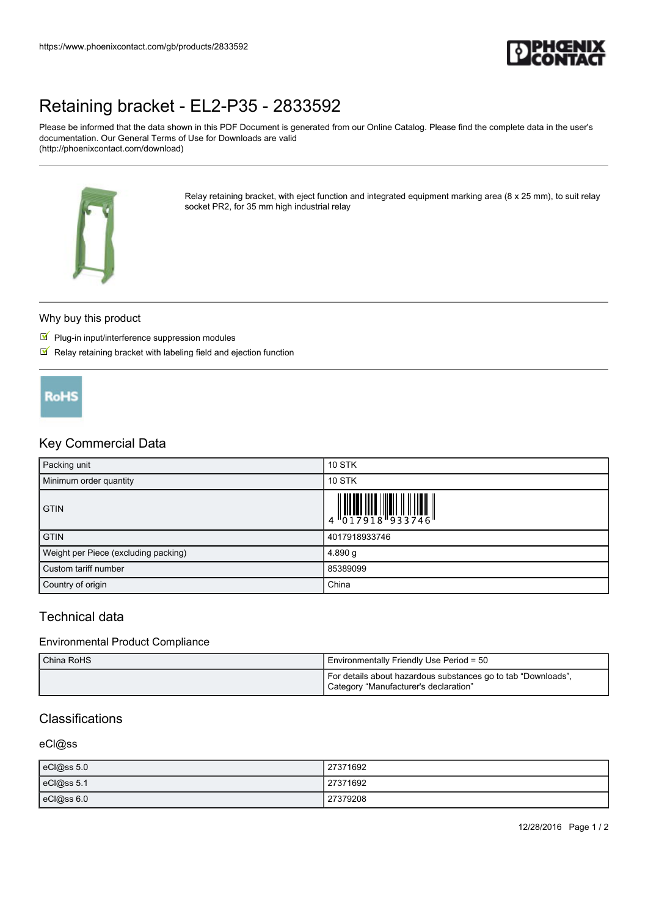

# [Retaining bracket - EL2-P35 - 2833592](https://www.phoenixcontact.com/gb/products/2833592)

Please be informed that the data shown in this PDF Document is generated from our Online Catalog. Please find the complete data in the user's documentation. Our General Terms of Use for Downloads are valid (http://phoenixcontact.com/download)



Relay retaining bracket, with eject function and integrated equipment marking area (8 x 25 mm), to suit relay socket PR2, for 35 mm high industrial relay

## Why buy this product

- $\Psi$  Plug-in input/interference suppression modules
- $\blacksquare$  Relay retaining bracket with labeling field and ejection function



## Key Commercial Data

| Packing unit                         | <b>10 STK</b>                                                                                                                                                                                                                                                                                                                 |
|--------------------------------------|-------------------------------------------------------------------------------------------------------------------------------------------------------------------------------------------------------------------------------------------------------------------------------------------------------------------------------|
| Minimum order quantity               | <b>10 STK</b>                                                                                                                                                                                                                                                                                                                 |
| <b>GTIN</b>                          | $\begin{array}{c} 1 & 0 & 0 & 0 \\ 0 & 1 & 0 & 1 \\ 0 & 1 & 0 & 1 \\ 0 & 0 & 1 & 0 \\ 0 & 0 & 0 & 0 \\ 0 & 0 & 0 & 0 \\ 0 & 0 & 0 & 0 \\ 0 & 0 & 0 & 0 \\ 0 & 0 & 0 & 0 \\ 0 & 0 & 0 & 0 \\ 0 & 0 & 0 & 0 & 0 \\ 0 & 0 & 0 & 0 & 0 \\ 0 & 0 & 0 & 0 & 0 \\ 0 & 0 & 0 & 0 & 0 & 0 \\ 0 & 0 & 0 & 0 & 0 & 0 \\ 0 & 0 & 0 & 0 &$ |
| <b>GTIN</b>                          | 4017918933746                                                                                                                                                                                                                                                                                                                 |
| Weight per Piece (excluding packing) | 4.890 g                                                                                                                                                                                                                                                                                                                       |
| Custom tariff number                 | 85389099                                                                                                                                                                                                                                                                                                                      |
| Country of origin                    | China                                                                                                                                                                                                                                                                                                                         |

# Technical data

## Environmental Product Compliance

| China RoHS | Environmentally Friendly Use Period = 50                                                               |
|------------|--------------------------------------------------------------------------------------------------------|
|            | For details about hazardous substances go to tab "Downloads",<br>Category "Manufacturer's declaration" |

# Classifications

#### eCl@ss

| eCl@ss 5.0 | 27371692 |
|------------|----------|
| eCl@ss 5.1 | 27371692 |
| eCl@ss 6.0 | 27379208 |